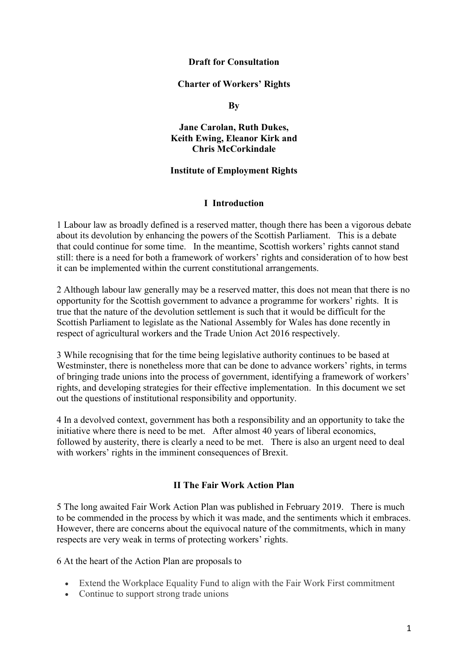#### **Draft for Consultation**

#### **Charter of Workers' Rights**

#### **By**

### **Jane Carolan, Ruth Dukes, Keith Ewing, Eleanor Kirk and Chris McCorkindale**

### **Institute of Employment Rights**

#### **I Introduction**

1 Labour law as broadly defined is a reserved matter, though there has been a vigorous debate about its devolution by enhancing the powers of the Scottish Parliament. This is a debate that could continue for some time. In the meantime, Scottish workers' rights cannot stand still: there is a need for both a framework of workers' rights and consideration of to how best it can be implemented within the current constitutional arrangements.

2 Although labour law generally may be a reserved matter, this does not mean that there is no opportunity for the Scottish government to advance a programme for workers' rights. It is true that the nature of the devolution settlement is such that it would be difficult for the Scottish Parliament to legislate as the National Assembly for Wales has done recently in respect of agricultural workers and the Trade Union Act 2016 respectively.

3 While recognising that for the time being legislative authority continues to be based at Westminster, there is nonetheless more that can be done to advance workers' rights, in terms of bringing trade unions into the process of government, identifying a framework of workers' rights, and developing strategies for their effective implementation. In this document we set out the questions of institutional responsibility and opportunity.

4 In a devolved context, government has both a responsibility and an opportunity to take the initiative where there is need to be met. After almost 40 years of liberal economics, followed by austerity, there is clearly a need to be met. There is also an urgent need to deal with workers' rights in the imminent consequences of Brexit.

### **II The Fair Work Action Plan**

5 The long awaited Fair Work Action Plan was published in February 2019. There is much to be commended in the process by which it was made, and the sentiments which it embraces. However, there are concerns about the equivocal nature of the commitments, which in many respects are very weak in terms of protecting workers' rights.

6 At the heart of the Action Plan are proposals to

- Extend the Workplace Equality Fund to align with the Fair Work First commitment
- Continue to support strong trade unions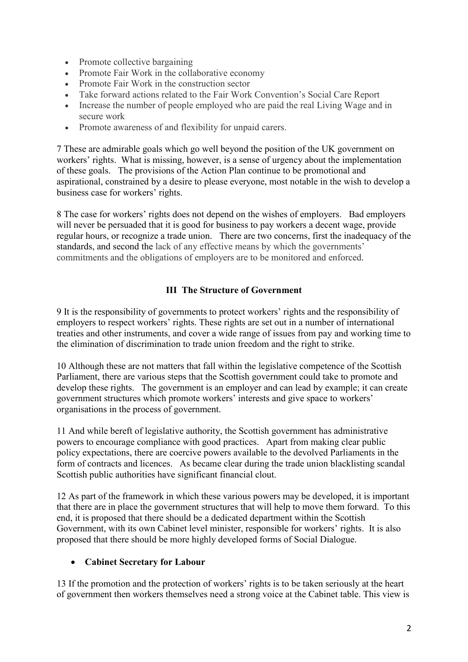- Promote collective bargaining
- Promote Fair Work in the collaborative economy
- Promote Fair Work in the construction sector
- Take forward actions related to the Fair Work Convention's Social Care Report
- Increase the number of people employed who are paid the real Living Wage and in secure work
- Promote awareness of and flexibility for unpaid carers.

7 These are admirable goals which go well beyond the position of the UK government on workers' rights. What is missing, however, is a sense of urgency about the implementation of these goals. The provisions of the Action Plan continue to be promotional and aspirational, constrained by a desire to please everyone, most notable in the wish to develop a business case for workers' rights.

8 The case for workers' rights does not depend on the wishes of employers. Bad employers will never be persuaded that it is good for business to pay workers a decent wage, provide regular hours, or recognize a trade union. There are two concerns, first the inadequacy of the standards, and second the lack of any effective means by which the governments' commitments and the obligations of employers are to be monitored and enforced.

## **III The Structure of Government**

9 It is the responsibility of governments to protect workers' rights and the responsibility of employers to respect workers' rights. These rights are set out in a number of international treaties and other instruments, and cover a wide range of issues from pay and working time to the elimination of discrimination to trade union freedom and the right to strike.

10 Although these are not matters that fall within the legislative competence of the Scottish Parliament, there are various steps that the Scottish government could take to promote and develop these rights. The government is an employer and can lead by example; it can create government structures which promote workers' interests and give space to workers' organisations in the process of government.

11 And while bereft of legislative authority, the Scottish government has administrative powers to encourage compliance with good practices. Apart from making clear public policy expectations, there are coercive powers available to the devolved Parliaments in the form of contracts and licences. As became clear during the trade union blacklisting scandal Scottish public authorities have significant financial clout.

12 As part of the framework in which these various powers may be developed, it is important that there are in place the government structures that will help to move them forward. To this end, it is proposed that there should be a dedicated department within the Scottish Government, with its own Cabinet level minister, responsible for workers' rights. It is also proposed that there should be more highly developed forms of Social Dialogue.

# **Cabinet Secretary for Labour**

13 If the promotion and the protection of workers' rights is to be taken seriously at the heart of government then workers themselves need a strong voice at the Cabinet table. This view is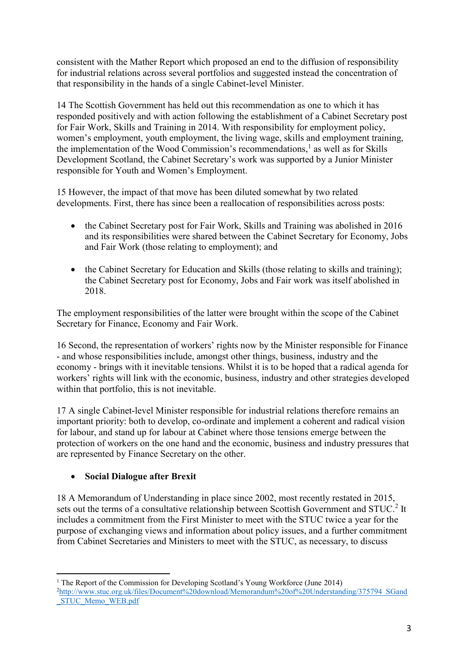consistent with the Mather Report which proposed an end to the diffusion of responsibility for industrial relations across several portfolios and suggested instead the concentration of that responsibility in the hands of a single Cabinet-level Minister.

14 The Scottish Government has held out this recommendation as one to which it has responded positively and with action following the establishment of a Cabinet Secretary post for Fair Work, Skills and Training in 2014. With responsibility for employment policy, women's employment, youth employment, the living wage, skills and employment training, the implementation of the Wood Commission's recommendations,<sup>1</sup> as well as for Skills Development Scotland, the Cabinet Secretary's work was supported by a Junior Minister responsible for Youth and Women's Employment.

15 However, the impact of that move has been diluted somewhat by two related developments. First, there has since been a reallocation of responsibilities across posts:

- the Cabinet Secretary post for Fair Work, Skills and Training was abolished in 2016 and its responsibilities were shared between the Cabinet Secretary for Economy, Jobs and Fair Work (those relating to employment); and
- the Cabinet Secretary for Education and Skills (those relating to skills and training); the Cabinet Secretary post for Economy, Jobs and Fair work was itself abolished in 2018.

The employment responsibilities of the latter were brought within the scope of the Cabinet Secretary for Finance, Economy and Fair Work.

16 Second, the representation of workers' rights now by the Minister responsible for Finance - and whose responsibilities include, amongst other things, business, industry and the economy - brings with it inevitable tensions. Whilst it is to be hoped that a radical agenda for workers' rights will link with the economic, business, industry and other strategies developed within that portfolio, this is not inevitable.

17 A single Cabinet-level Minister responsible for industrial relations therefore remains an important priority: both to develop, co-ordinate and implement a coherent and radical vision for labour, and stand up for labour at Cabinet where those tensions emerge between the protection of workers on the one hand and the economic, business and industry pressures that are represented by Finance Secretary on the other.

# **Social Dialogue after Brexit**

18 A Memorandum of Understanding in place since 2002, most recently restated in 2015, sets out the terms of a consultative relationship between Scottish Government and STUC.<sup>2</sup> It includes a commitment from the First Minister to meet with the STUC twice a year for the purpose of exchanging views and information about policy issues, and a further commitment from Cabinet Secretaries and Ministers to meet with the STUC, as necessary, to discuss

 $\overline{a}$ <sup>1</sup> The Report of the Commission for Developing Scotland's Young Workforce (June 2014) <sup>2</sup>[http://www.stuc.org.uk/files/Document%20download/Memorandum%20of%20Understanding/375794\\_SGand](http://www.stuc.org.uk/files/Document%20download/Memorandum%20of%20Understanding/375794_SGand_STUC_Memo_WEB.pdf) [\\_STUC\\_Memo\\_WEB.pdf](http://www.stuc.org.uk/files/Document%20download/Memorandum%20of%20Understanding/375794_SGand_STUC_Memo_WEB.pdf)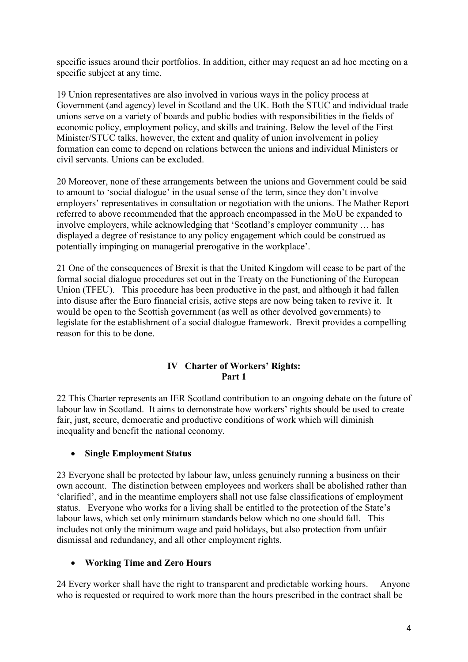specific issues around their portfolios. In addition, either may request an ad hoc meeting on a specific subject at any time.

19 Union representatives are also involved in various ways in the policy process at Government (and agency) level in Scotland and the UK. Both the STUC and individual trade unions serve on a variety of boards and public bodies with responsibilities in the fields of economic policy, employment policy, and skills and training. Below the level of the First Minister/STUC talks, however, the extent and quality of union involvement in policy formation can come to depend on relations between the unions and individual Ministers or civil servants. Unions can be excluded.

20 Moreover, none of these arrangements between the unions and Government could be said to amount to 'social dialogue' in the usual sense of the term, since they don't involve employers' representatives in consultation or negotiation with the unions. The Mather Report referred to above recommended that the approach encompassed in the MoU be expanded to involve employers, while acknowledging that 'Scotland's employer community … has displayed a degree of resistance to any policy engagement which could be construed as potentially impinging on managerial prerogative in the workplace'.

21 One of the consequences of Brexit is that the United Kingdom will cease to be part of the formal social dialogue procedures set out in the Treaty on the Functioning of the European Union (TFEU). This procedure has been productive in the past, and although it had fallen into disuse after the Euro financial crisis, active steps are now being taken to revive it. It would be open to the Scottish government (as well as other devolved governments) to legislate for the establishment of a social dialogue framework. Brexit provides a compelling reason for this to be done.

## **IV Charter of Workers' Rights: Part 1**

22 This Charter represents an IER Scotland contribution to an ongoing debate on the future of labour law in Scotland. It aims to demonstrate how workers' rights should be used to create fair, just, secure, democratic and productive conditions of work which will diminish inequality and benefit the national economy.

# **Single Employment Status**

23 Everyone shall be protected by labour law, unless genuinely running a business on their own account. The distinction between employees and workers shall be abolished rather than 'clarified', and in the meantime employers shall not use false classifications of employment status. Everyone who works for a living shall be entitled to the protection of the State's labour laws, which set only minimum standards below which no one should fall. This includes not only the minimum wage and paid holidays, but also protection from unfair dismissal and redundancy, and all other employment rights.

# **Working Time and Zero Hours**

24 Every worker shall have the right to transparent and predictable working hours. Anyone who is requested or required to work more than the hours prescribed in the contract shall be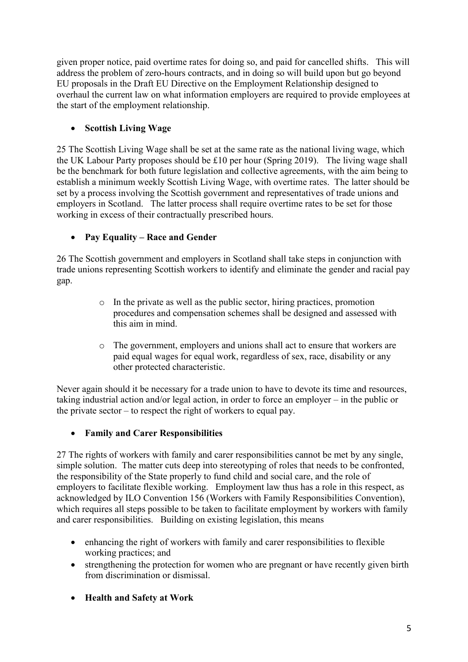given proper notice, paid overtime rates for doing so, and paid for cancelled shifts. This will address the problem of zero-hours contracts, and in doing so will build upon but go beyond EU proposals in the Draft EU Directive on the Employment Relationship designed to overhaul the current law on what information employers are required to provide employees at the start of the employment relationship.

# **Scottish Living Wage**

25 The Scottish Living Wage shall be set at the same rate as the national living wage, which the UK Labour Party proposes should be £10 per hour (Spring 2019). The living wage shall be the benchmark for both future legislation and collective agreements, with the aim being to establish a minimum weekly Scottish Living Wage, with overtime rates. The latter should be set by a process involving the Scottish government and representatives of trade unions and employers in Scotland. The latter process shall require overtime rates to be set for those working in excess of their contractually prescribed hours.

# **Pay Equality – Race and Gender**

26 The Scottish government and employers in Scotland shall take steps in conjunction with trade unions representing Scottish workers to identify and eliminate the gender and racial pay gap.

- o In the private as well as the public sector, hiring practices, promotion procedures and compensation schemes shall be designed and assessed with this aim in mind.
- o The government, employers and unions shall act to ensure that workers are paid equal wages for equal work, regardless of sex, race, disability or any other protected characteristic.

Never again should it be necessary for a trade union to have to devote its time and resources, taking industrial action and/or legal action, in order to force an employer – in the public or the private sector – to respect the right of workers to equal pay.

# **Family and Carer Responsibilities**

27 The rights of workers with family and carer responsibilities cannot be met by any single, simple solution. The matter cuts deep into stereotyping of roles that needs to be confronted, the responsibility of the State properly to fund child and social care, and the role of employers to facilitate flexible working. Employment law thus has a role in this respect, as acknowledged by ILO Convention 156 (Workers with Family Responsibilities Convention), which requires all steps possible to be taken to facilitate employment by workers with family and carer responsibilities. Building on existing legislation, this means

- enhancing the right of workers with family and carer responsibilities to flexible working practices; and
- strengthening the protection for women who are pregnant or have recently given birth from discrimination or dismissal.
- **Health and Safety at Work**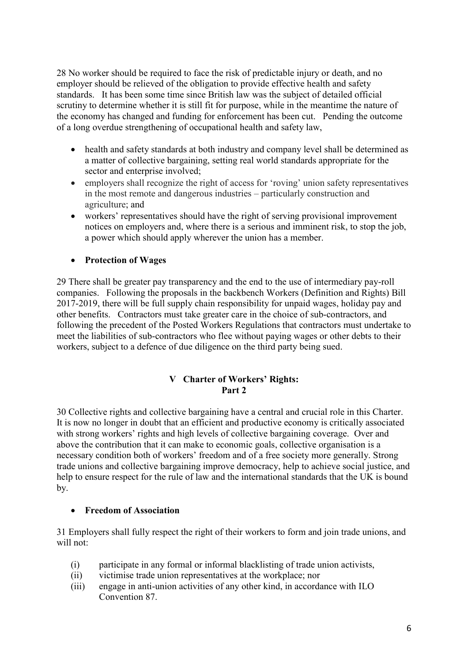28 No worker should be required to face the risk of predictable injury or death, and no employer should be relieved of the obligation to provide effective health and safety standards. It has been some time since British law was the subject of detailed official scrutiny to determine whether it is still fit for purpose, while in the meantime the nature of the economy has changed and funding for enforcement has been cut. Pending the outcome of a long overdue strengthening of occupational health and safety law,

- health and safety standards at both industry and company level shall be determined as a matter of collective bargaining, setting real world standards appropriate for the sector and enterprise involved;
- employers shall recognize the right of access for 'roving' union safety representatives in the most remote and dangerous industries – particularly construction and agriculture; and
- workers' representatives should have the right of serving provisional improvement notices on employers and, where there is a serious and imminent risk, to stop the job, a power which should apply wherever the union has a member.
- **Protection of Wages**

29 There shall be greater pay transparency and the end to the use of intermediary pay-roll companies. Following the proposals in the backbench Workers (Definition and Rights) Bill 2017-2019, there will be full supply chain responsibility for unpaid wages, holiday pay and other benefits. Contractors must take greater care in the choice of sub-contractors, and following the precedent of the Posted Workers Regulations that contractors must undertake to meet the liabilities of sub-contractors who flee without paying wages or other debts to their workers, subject to a defence of due diligence on the third party being sued.

## **V Charter of Workers' Rights: Part 2**

30 Collective rights and collective bargaining have a central and crucial role in this Charter. It is now no longer in doubt that an efficient and productive economy is critically associated with strong workers' rights and high levels of collective bargaining coverage. Over and above the contribution that it can make to economic goals, collective organisation is a necessary condition both of workers' freedom and of a free society more generally. Strong trade unions and collective bargaining improve democracy, help to achieve social justice, and help to ensure respect for the rule of law and the international standards that the UK is bound by.

# **Freedom of Association**

31 Employers shall fully respect the right of their workers to form and join trade unions, and will not:

- (i) participate in any formal or informal blacklisting of trade union activists,
- (ii) victimise trade union representatives at the workplace; nor
- (iii) engage in anti-union activities of any other kind, in accordance with ILO Convention 87.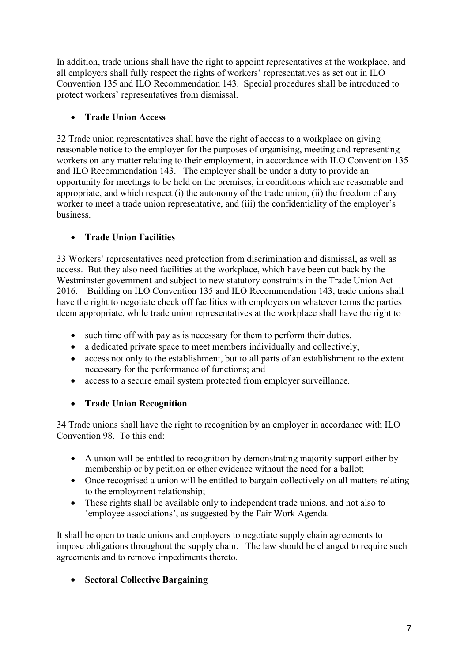In addition, trade unions shall have the right to appoint representatives at the workplace, and all employers shall fully respect the rights of workers' representatives as set out in ILO Convention 135 and ILO Recommendation 143. Special procedures shall be introduced to protect workers' representatives from dismissal.

# **Trade Union Access**

32 Trade union representatives shall have the right of access to a workplace on giving reasonable notice to the employer for the purposes of organising, meeting and representing workers on any matter relating to their employment, in accordance with ILO Convention 135 and ILO Recommendation 143. The employer shall be under a duty to provide an opportunity for meetings to be held on the premises, in conditions which are reasonable and appropriate, and which respect (i) the autonomy of the trade union, (ii) the freedom of any worker to meet a trade union representative, and (iii) the confidentiality of the employer's business.

# **Trade Union Facilities**

33 Workers' representatives need protection from discrimination and dismissal, as well as access. But they also need facilities at the workplace, which have been cut back by the Westminster government and subject to new statutory constraints in the Trade Union Act 2016. Building on ILO Convention 135 and ILO Recommendation 143, trade unions shall have the right to negotiate check off facilities with employers on whatever terms the parties deem appropriate, while trade union representatives at the workplace shall have the right to

- such time off with pay as is necessary for them to perform their duties,
- a dedicated private space to meet members individually and collectively,
- access not only to the establishment, but to all parts of an establishment to the extent necessary for the performance of functions; and
- access to a secure email system protected from employer surveillance.

# **Trade Union Recognition**

34 Trade unions shall have the right to recognition by an employer in accordance with ILO Convention 98. To this end:

- A union will be entitled to recognition by demonstrating majority support either by membership or by petition or other evidence without the need for a ballot;
- Once recognised a union will be entitled to bargain collectively on all matters relating to the employment relationship;
- These rights shall be available only to independent trade unions. and not also to 'employee associations', as suggested by the Fair Work Agenda.

It shall be open to trade unions and employers to negotiate supply chain agreements to impose obligations throughout the supply chain. The law should be changed to require such agreements and to remove impediments thereto.

**Sectoral Collective Bargaining**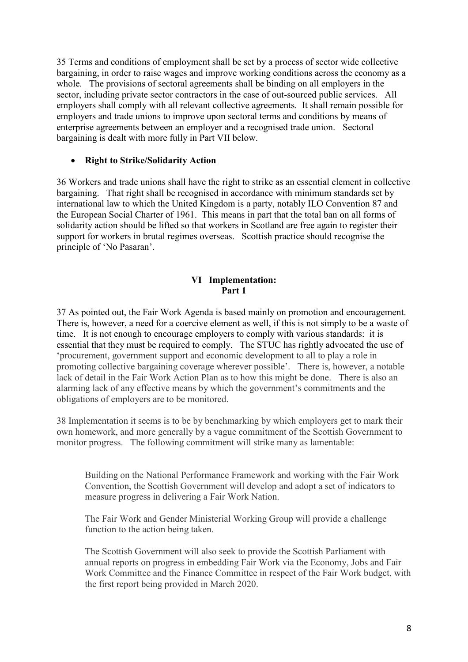35 Terms and conditions of employment shall be set by a process of sector wide collective bargaining, in order to raise wages and improve working conditions across the economy as a whole. The provisions of sectoral agreements shall be binding on all employers in the sector, including private sector contractors in the case of out-sourced public services. All employers shall comply with all relevant collective agreements. It shall remain possible for employers and trade unions to improve upon sectoral terms and conditions by means of enterprise agreements between an employer and a recognised trade union. Sectoral bargaining is dealt with more fully in Part VII below.

### **Right to Strike/Solidarity Action**

36 Workers and trade unions shall have the right to strike as an essential element in collective bargaining. That right shall be recognised in accordance with minimum standards set by international law to which the United Kingdom is a party, notably ILO Convention 87 and the European Social Charter of 1961. This means in part that the total ban on all forms of solidarity action should be lifted so that workers in Scotland are free again to register their support for workers in brutal regimes overseas. Scottish practice should recognise the principle of 'No Pasaran'.

### **VI Implementation: Part 1**

37 As pointed out, the Fair Work Agenda is based mainly on promotion and encouragement. There is, however, a need for a coercive element as well, if this is not simply to be a waste of time. It is not enough to encourage employers to comply with various standards: it is essential that they must be required to comply. The STUC has rightly advocated the use of 'procurement, government support and economic development to all to play a role in promoting collective bargaining coverage wherever possible'. There is, however, a notable lack of detail in the Fair Work Action Plan as to how this might be done. There is also an alarming lack of any effective means by which the government's commitments and the obligations of employers are to be monitored.

38 Implementation it seems is to be by benchmarking by which employers get to mark their own homework, and more generally by a vague commitment of the Scottish Government to monitor progress. The following commitment will strike many as lamentable:

Building on the National Performance Framework and working with the Fair Work Convention, the Scottish Government will develop and adopt a set of indicators to measure progress in delivering a Fair Work Nation.

The Fair Work and Gender Ministerial Working Group will provide a challenge function to the action being taken.

The Scottish Government will also seek to provide the Scottish Parliament with annual reports on progress in embedding Fair Work via the Economy, Jobs and Fair Work Committee and the Finance Committee in respect of the Fair Work budget, with the first report being provided in March 2020.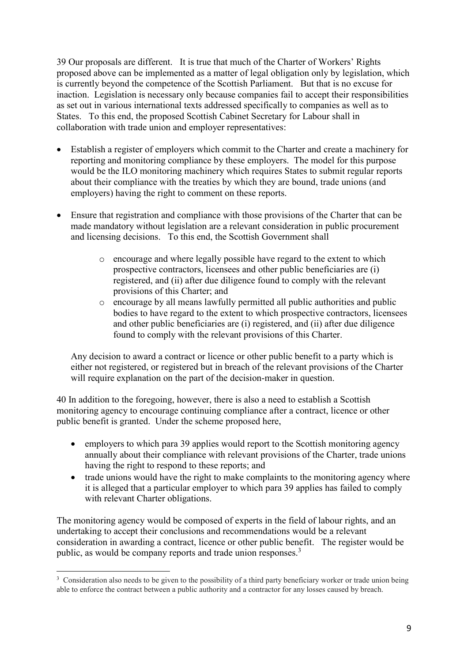39 Our proposals are different. It is true that much of the Charter of Workers' Rights proposed above can be implemented as a matter of legal obligation only by legislation, which is currently beyond the competence of the Scottish Parliament. But that is no excuse for inaction. Legislation is necessary only because companies fail to accept their responsibilities as set out in various international texts addressed specifically to companies as well as to States. To this end, the proposed Scottish Cabinet Secretary for Labour shall in collaboration with trade union and employer representatives:

- Establish a register of employers which commit to the Charter and create a machinery for reporting and monitoring compliance by these employers. The model for this purpose would be the ILO monitoring machinery which requires States to submit regular reports about their compliance with the treaties by which they are bound, trade unions (and employers) having the right to comment on these reports.
- Ensure that registration and compliance with those provisions of the Charter that can be made mandatory without legislation are a relevant consideration in public procurement and licensing decisions. To this end, the Scottish Government shall
	- o encourage and where legally possible have regard to the extent to which prospective contractors, licensees and other public beneficiaries are (i) registered, and (ii) after due diligence found to comply with the relevant provisions of this Charter; and
	- o encourage by all means lawfully permitted all public authorities and public bodies to have regard to the extent to which prospective contractors, licensees and other public beneficiaries are (i) registered, and (ii) after due diligence found to comply with the relevant provisions of this Charter.

Any decision to award a contract or licence or other public benefit to a party which is either not registered, or registered but in breach of the relevant provisions of the Charter will require explanation on the part of the decision-maker in question.

40 In addition to the foregoing, however, there is also a need to establish a Scottish monitoring agency to encourage continuing compliance after a contract, licence or other public benefit is granted. Under the scheme proposed here,

- employers to which para 39 applies would report to the Scottish monitoring agency annually about their compliance with relevant provisions of the Charter, trade unions having the right to respond to these reports; and
- trade unions would have the right to make complaints to the monitoring agency where it is alleged that a particular employer to which para 39 applies has failed to comply with relevant Charter obligations.

The monitoring agency would be composed of experts in the field of labour rights, and an undertaking to accept their conclusions and recommendations would be a relevant consideration in awarding a contract, licence or other public benefit. The register would be public, as would be company reports and trade union responses.<sup>3</sup>

 $\overline{a}$ <sup>3</sup> Consideration also needs to be given to the possibility of a third party beneficiary worker or trade union being able to enforce the contract between a public authority and a contractor for any losses caused by breach.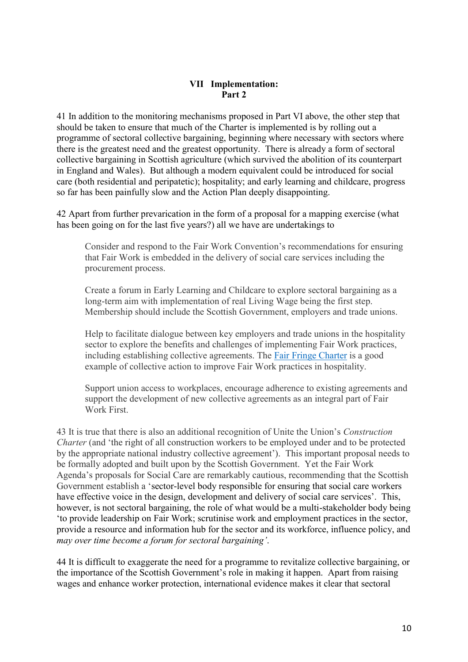#### **VII Implementation: Part 2**

41 In addition to the monitoring mechanisms proposed in Part VI above, the other step that should be taken to ensure that much of the Charter is implemented is by rolling out a programme of sectoral collective bargaining, beginning where necessary with sectors where there is the greatest need and the greatest opportunity. There is already a form of sectoral collective bargaining in Scottish agriculture (which survived the abolition of its counterpart in England and Wales). But although a modern equivalent could be introduced for social care (both residential and peripatetic); hospitality; and early learning and childcare, progress so far has been painfully slow and the Action Plan deeply disappointing.

42 Apart from further prevarication in the form of a proposal for a mapping exercise (what has been going on for the last five years?) all we have are undertakings to

Consider and respond to the Fair Work Convention's recommendations for ensuring that Fair Work is embedded in the delivery of social care services including the procurement process.

Create a forum in Early Learning and Childcare to explore sectoral bargaining as a long-term aim with implementation of real Living Wage being the first step. Membership should include the Scottish Government, employers and trade unions.

Help to facilitate dialogue between key employers and trade unions in the hospitality sector to explore the benefits and challenges of implementing Fair Work practices, including establishing collective agreements. The [Fair Fringe Charter](https://www.fairfringe.org/the-charter/) is a good example of collective action to improve Fair Work practices in hospitality.

Support union access to workplaces, encourage adherence to existing agreements and support the development of new collective agreements as an integral part of Fair Work First.

43 It is true that there is also an additional recognition of Unite the Union's *Construction Charter* (and 'the right of all construction workers to be employed under and to be protected by the appropriate national industry collective agreement'). This important proposal needs to be formally adopted and built upon by the Scottish Government. Yet the Fair Work Agenda's proposals for Social Care are remarkably cautious, recommending that the Scottish Government establish a 'sector-level body responsible for ensuring that social care workers have effective voice in the design, development and delivery of social care services'. This, however, is not sectoral bargaining, the role of what would be a multi-stakeholder body being 'to provide leadership on Fair Work; scrutinise work and employment practices in the sector, provide a resource and information hub for the sector and its workforce, influence policy, and *may over time become a forum for sectoral bargaining'*.

44 It is difficult to exaggerate the need for a programme to revitalize collective bargaining, or the importance of the Scottish Government's role in making it happen. Apart from raising wages and enhance worker protection, international evidence makes it clear that sectoral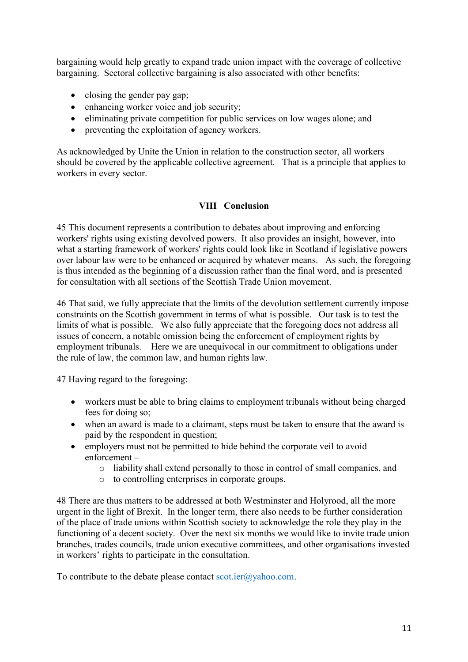bargaining would help greatly to expand trade union impact with the coverage of collective bargaining. Sectoral collective bargaining is also associated with other benefits:

- closing the gender pay gap;
- enhancing worker voice and job security;
- eliminating private competition for public services on low wages alone; and
- preventing the exploitation of agency workers.

As acknowledged by Unite the Union in relation to the construction sector, all workers should be covered by the applicable collective agreement. That is a principle that applies to workers in every sector.

## **VIII Conclusion**

45 This document represents a contribution to debates about improving and enforcing workers' rights using existing devolved powers. It also provides an insight, however, into what a starting framework of workers' rights could look like in Scotland if legislative powers over labour law were to be enhanced or acquired by whatever means. As such, the foregoing is thus intended as the beginning of a discussion rather than the final word, and is presented for consultation with all sections of the Scottish Trade Union movement.

46 That said, we fully appreciate that the limits of the devolution settlement currently impose constraints on the Scottish government in terms of what is possible. Our task is to test the limits of what is possible. We also fully appreciate that the foregoing does not address all issues of concern, a notable omission being the enforcement of employment rights by employment tribunals. Here we are unequivocal in our commitment to obligations under the rule of law, the common law, and human rights law.

47 Having regard to the foregoing:

- workers must be able to bring claims to employment tribunals without being charged fees for doing so;
- when an award is made to a claimant, steps must be taken to ensure that the award is paid by the respondent in question;
- employers must not be permitted to hide behind the corporate veil to avoid enforcement –
	- o liability shall extend personally to those in control of small companies, and
	- o to controlling enterprises in corporate groups.

48 There are thus matters to be addressed at both Westminster and Holyrood, all the more urgent in the light of Brexit. In the longer term, there also needs to be further consideration of the place of trade unions within Scottish society to acknowledge the role they play in the functioning of a decent society. Over the next six months we would like to invite trade union branches, trades councils, trade union executive committees, and other organisations invested in workers' rights to participate in the consultation.

To contribute to the debate please contact  $\frac{\text{scot.ier}(a)}{a}$  ahoo.com.